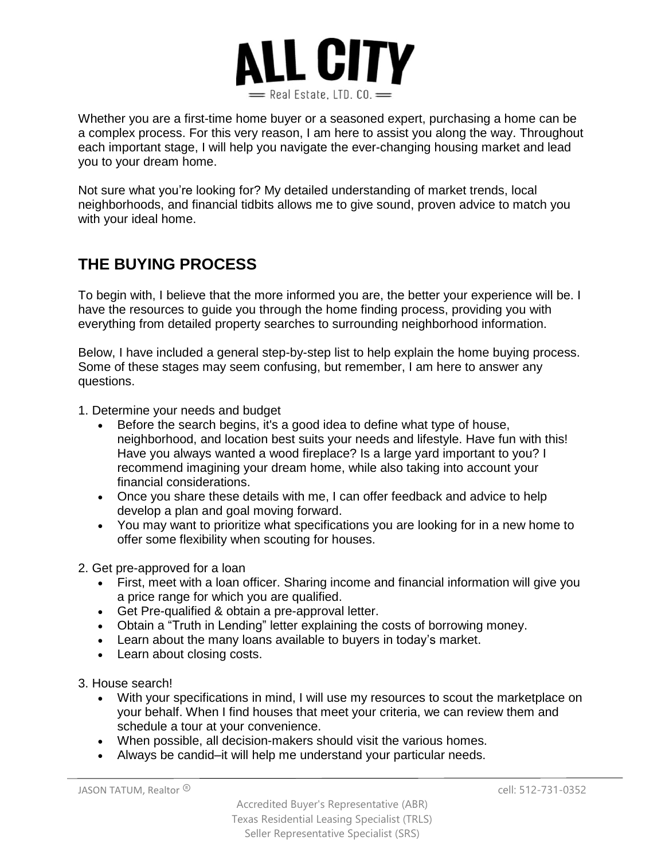

Whether you are a first-time home buyer or a seasoned expert, purchasing a home can be a complex process. For this very reason, I am here to assist you along the way. Throughout each important stage, I will help you navigate the ever-changing housing market and lead you to your dream home.

Not sure what you're looking for? My detailed understanding of market trends, local neighborhoods, and financial tidbits allows me to give sound, proven advice to match you with your ideal home.

## **THE BUYING PROCESS**

To begin with, I believe that the more informed you are, the better your experience will be. I have the resources to guide you through the home finding process, providing you with everything from detailed property searches to surrounding neighborhood information.

Below, I have included a general step-by-step list to help explain the home buying process. Some of these stages may seem confusing, but remember, I am here to answer any questions.

- 1. Determine your needs and budget
	- Before the search begins, it's a good idea to define what type of house, neighborhood, and location best suits your needs and lifestyle. Have fun with this! Have you always wanted a wood fireplace? Is a large yard important to you? I recommend imagining your dream home, while also taking into account your financial considerations.
	- Once you share these details with me, I can offer feedback and advice to help develop a plan and goal moving forward.
	- You may want to prioritize what specifications you are looking for in a new home to offer some flexibility when scouting for houses.
- 2. Get pre-approved for a loan
	- First, meet with a loan officer. Sharing income and financial information will give you a price range for which you are qualified.
	- Get Pre-qualified & obtain a pre-approval letter.
	- Obtain a "Truth in Lending" letter explaining the costs of borrowing money.
	- Learn about the many loans available to buyers in today's market.
	- Learn about closing costs.

3. House search!

- With your specifications in mind, I will use my resources to scout the marketplace on your behalf. When I find houses that meet your criteria, we can review them and schedule a tour at your convenience.
- When possible, all decision-makers should visit the various homes.
- Always be candid–it will help me understand your particular needs.